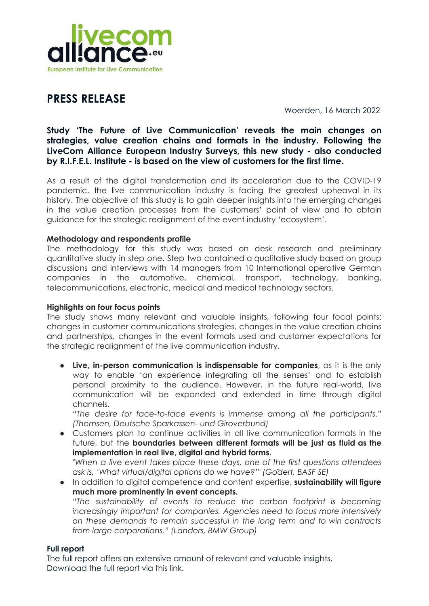

# **PRESS RELEASE**

Woerden, 16 March 2022

## **Study 'The Future of Live Communication' reveals the main changes on strategies, value creation chains and formats in the industry. Following the LiveCom Alliance European Industry Surveys, this new study - also conducted by R.I.F.E.L. Institute - is based on the view of customers for the first time.**

As a result of the digital transformation and its acceleration due to the COVID-19 pandemic, the live communication industry is facing the greatest upheaval in its history. The objective of this study is to gain deeper insights into the emerging changes in the value creation processes from the customers' point of view and to obtain guidance for the strategic realignment of the event industry 'ecosystem'.

### **Methodology and respondents profile**

The methodology for this study was based on desk research and preliminary quantitative study in step one. Step two contained a qualitative study based on group discussions and interviews with 14 managers from 10 International operative German companies in the automotive, chemical, transport, technology, banking, telecommunications, electronic, medical and medical technology sectors.

#### **Highlights on four focus points**

The study shows many relevant and valuable insights, following four focal points: changes in customer communications strategies, changes in the value creation chains and partnerships, changes in the event formats used and customer expectations for the strategic realignment of the live communication industry.

● **Live, in-person communication is indispensable for companies**, as it is the only way to enable 'an experience integrating all the senses' and to establish personal proximity to the audience. However, in the future real-world, live communication will be expanded and extended in time through digital channels.

*"The desire for face-to-face events is immense among all the participants." (Thomsen, Deutsche Sparkassen- und Giroverbund)*

- Customers plan to continue activities in all live communication formats in the future, but the **boundaries between different formats will be just as fluid as the implementation in real live, digital and hybrid forms.** *"When a live event takes place these days, one of the first questions attendees*
- *ask is, 'What virtual/digital options do we have?'" (Gödert, BASF SE)* ● In addition to digital competence and content expertise, **sustainability will figure much more prominently in event concepts.** *"The sustainability of events to reduce the carbon footprint is becoming increasingly important for companies. Agencies need to focus more intensively on these demands to remain successful in the long term and to win contracts from large corporations." (Landers, BMW Group)*

### **Full report**

The full report offers an extensive amount of relevant and valuable insights. Download the full report via this link.